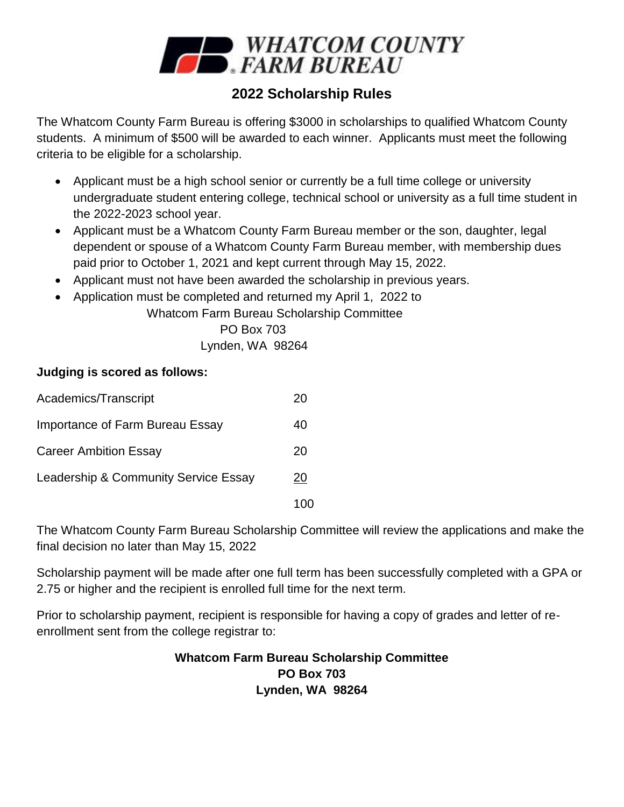

# **2022 Scholarship Rules**

The Whatcom County Farm Bureau is offering \$3000 in scholarships to qualified Whatcom County students. A minimum of \$500 will be awarded to each winner. Applicants must meet the following criteria to be eligible for a scholarship.

- Applicant must be a high school senior or currently be a full time college or university undergraduate student entering college, technical school or university as a full time student in the 2022-2023 school year.
- Applicant must be a Whatcom County Farm Bureau member or the son, daughter, legal dependent or spouse of a Whatcom County Farm Bureau member, with membership dues paid prior to October 1, 2021 and kept current through May 15, 2022.
- Applicant must not have been awarded the scholarship in previous years.
- Application must be completed and returned my April 1, 2022 to

Whatcom Farm Bureau Scholarship Committee

PO Box 703

Lynden, WA 98264

#### **Judging is scored as follows:**

| Academics/Transcript                 | 20 |
|--------------------------------------|----|
| Importance of Farm Bureau Essay      | 40 |
| <b>Career Ambition Essay</b>         | 20 |
| Leadership & Community Service Essay | 20 |
|                                      |    |

The Whatcom County Farm Bureau Scholarship Committee will review the applications and make the final decision no later than May 15, 2022

Scholarship payment will be made after one full term has been successfully completed with a GPA or 2.75 or higher and the recipient is enrolled full time for the next term.

Prior to scholarship payment, recipient is responsible for having a copy of grades and letter of reenrollment sent from the college registrar to:

#### **Whatcom Farm Bureau Scholarship Committee PO Box 703 Lynden, WA 98264**